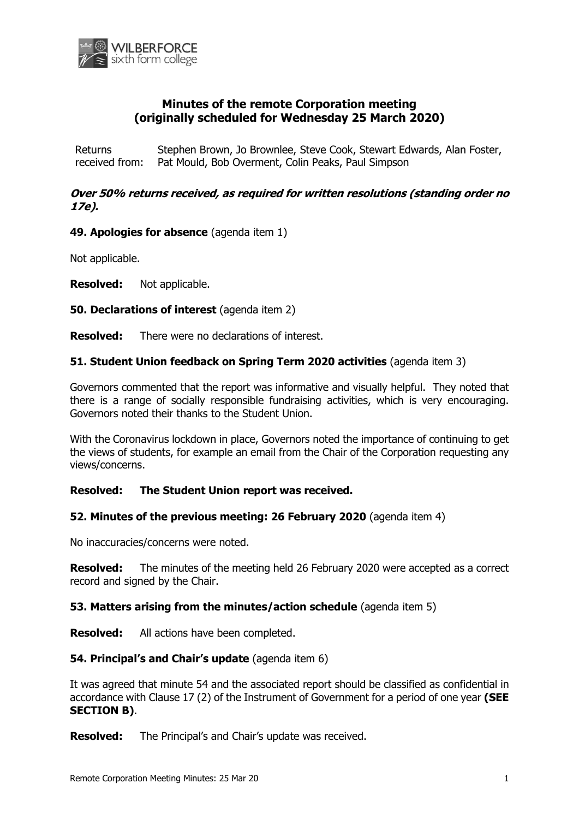

# **Minutes of the remote Corporation meeting (originally scheduled for Wednesday 25 March 2020)**

Returns received from: Stephen Brown, Jo Brownlee, Steve Cook, Stewart Edwards, Alan Foster, Pat Mould, Bob Overment, Colin Peaks, Paul Simpson

### **Over 50% returns received, as required for written resolutions (standing order no 17e).**

**49. Apologies for absence** (agenda item 1)

Not applicable.

**Resolved:** Not applicable.

**50. Declarations of interest** (agenda item 2)

**Resolved:** There were no declarations of interest.

### **51. Student Union feedback on Spring Term 2020 activities** (agenda item 3)

Governors commented that the report was informative and visually helpful. They noted that there is a range of socially responsible fundraising activities, which is very encouraging. Governors noted their thanks to the Student Union.

With the Coronavirus lockdown in place, Governors noted the importance of continuing to get the views of students, for example an email from the Chair of the Corporation requesting any views/concerns.

### **Resolved: The Student Union report was received.**

### **52. Minutes of the previous meeting: 26 February 2020** (agenda item 4)

No inaccuracies/concerns were noted.

**Resolved:** The minutes of the meeting held 26 February 2020 were accepted as a correct record and signed by the Chair.

### **53. Matters arising from the minutes/action schedule** (agenda item 5)

**Resolved:** All actions have been completed.

### **54. Principal's and Chair's update** (agenda item 6)

It was agreed that minute 54 and the associated report should be classified as confidential in accordance with Clause 17 (2) of the Instrument of Government for a period of one year **(SEE SECTION B)**.

**Resolved:** The Principal's and Chair's update was received.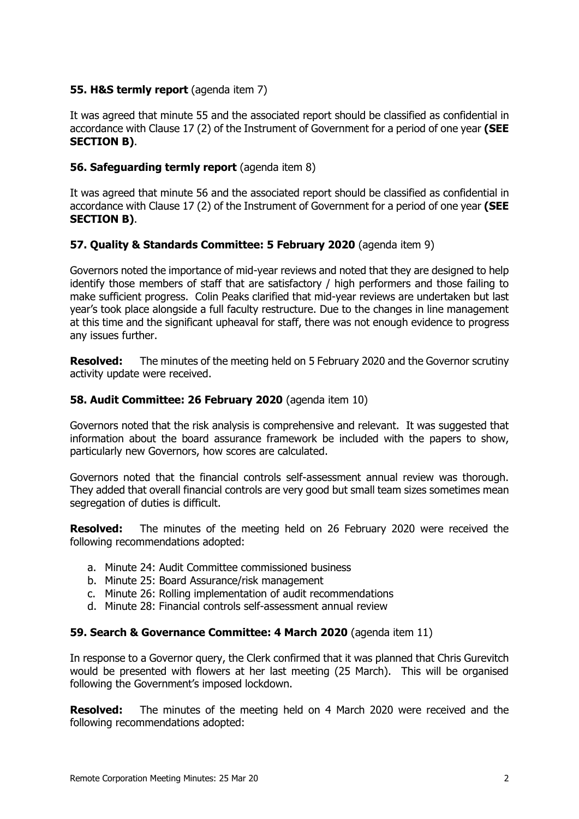## **55. H&S termly report** (agenda item 7)

It was agreed that minute 55 and the associated report should be classified as confidential in accordance with Clause 17 (2) of the Instrument of Government for a period of one year **(SEE SECTION B)**.

## **56. Safeguarding termly report** (agenda item 8)

It was agreed that minute 56 and the associated report should be classified as confidential in accordance with Clause 17 (2) of the Instrument of Government for a period of one year **(SEE SECTION B)**.

## **57. Quality & Standards Committee: 5 February 2020** (agenda item 9)

Governors noted the importance of mid-year reviews and noted that they are designed to help identify those members of staff that are satisfactory / high performers and those failing to make sufficient progress. Colin Peaks clarified that mid-year reviews are undertaken but last year's took place alongside a full faculty restructure. Due to the changes in line management at this time and the significant upheaval for staff, there was not enough evidence to progress any issues further.

**Resolved:** The minutes of the meeting held on 5 February 2020 and the Governor scrutiny activity update were received.

## **58. Audit Committee: 26 February 2020** (agenda item 10)

Governors noted that the risk analysis is comprehensive and relevant. It was suggested that information about the board assurance framework be included with the papers to show, particularly new Governors, how scores are calculated.

Governors noted that the financial controls self-assessment annual review was thorough. They added that overall financial controls are very good but small team sizes sometimes mean segregation of duties is difficult.

**Resolved:** The minutes of the meeting held on 26 February 2020 were received the following recommendations adopted:

- a. Minute 24: Audit Committee commissioned business
- b. Minute 25: Board Assurance/risk management
- c. Minute 26: Rolling implementation of audit recommendations
- d. Minute 28: Financial controls self-assessment annual review

### **59. Search & Governance Committee: 4 March 2020** (agenda item 11)

In response to a Governor query, the Clerk confirmed that it was planned that Chris Gurevitch would be presented with flowers at her last meeting (25 March). This will be organised following the Government's imposed lockdown.

**Resolved:** The minutes of the meeting held on 4 March 2020 were received and the following recommendations adopted: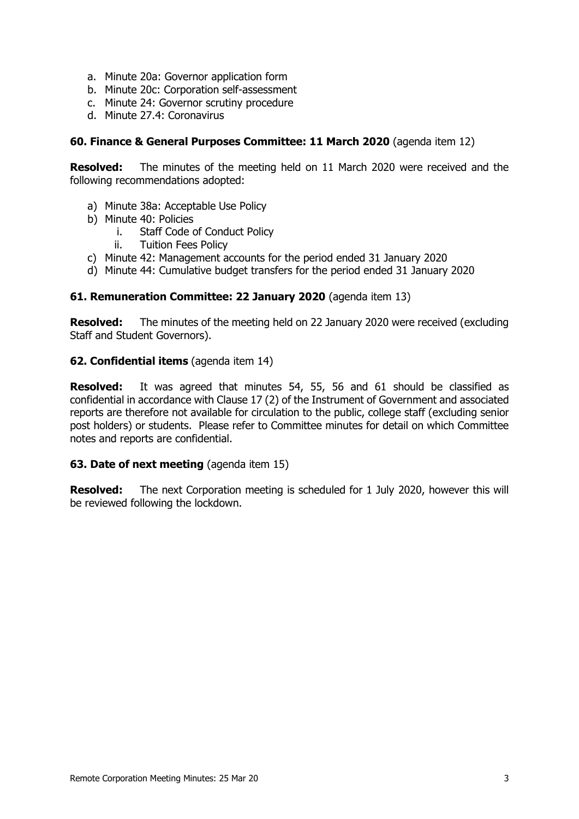- a. Minute 20a: Governor application form
- b. Minute 20c: Corporation self-assessment
- c. Minute 24: Governor scrutiny procedure
- d. Minute 27.4: Coronavirus

### **60. Finance & General Purposes Committee: 11 March 2020** (agenda item 12)

**Resolved:** The minutes of the meeting held on 11 March 2020 were received and the following recommendations adopted:

- a) Minute 38a: Acceptable Use Policy
- b) Minute 40: Policies
	- i. Staff Code of Conduct Policy
	- ii. Tuition Fees Policy
- c) Minute 42: Management accounts for the period ended 31 January 2020
- d) Minute 44: Cumulative budget transfers for the period ended 31 January 2020

### **61. Remuneration Committee: 22 January 2020** (agenda item 13)

**Resolved:** The minutes of the meeting held on 22 January 2020 were received (excluding Staff and Student Governors).

### **62. Confidential items** (agenda item 14)

**Resolved:** It was agreed that minutes 54, 55, 56 and 61 should be classified as confidential in accordance with Clause 17 (2) of the Instrument of Government and associated reports are therefore not available for circulation to the public, college staff (excluding senior post holders) or students. Please refer to Committee minutes for detail on which Committee notes and reports are confidential.

### **63. Date of next meeting** (agenda item 15)

**Resolved:** The next Corporation meeting is scheduled for 1 July 2020, however this will be reviewed following the lockdown.